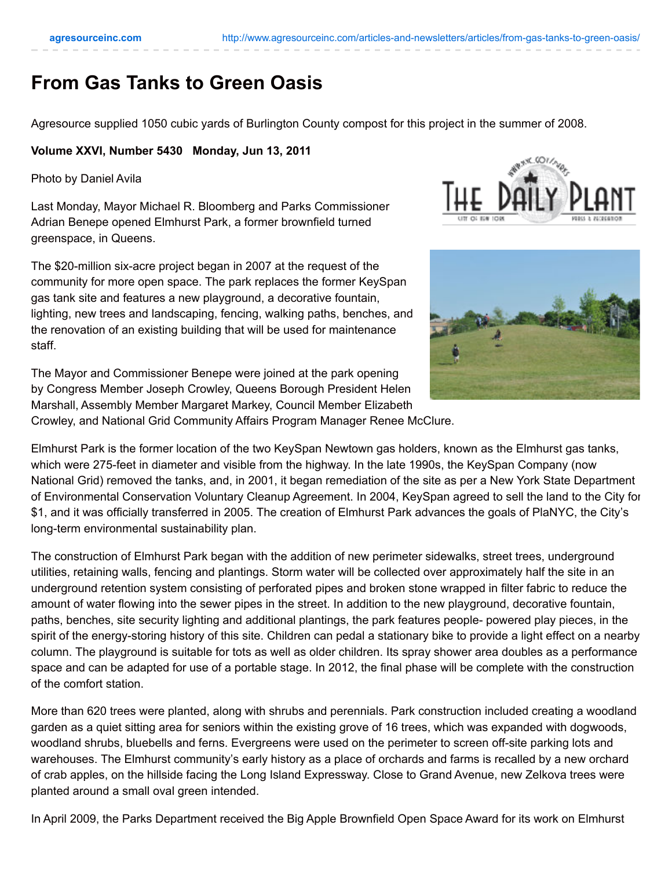## **From Gas Tanks to Green Oasis**

Agresource supplied 1050 cubic yards of Burlington County compost for this project in the summer of 2008.

## **Volume XXVI, Number 5430 Monday, Jun 13, 2011**

Photo by Daniel Avila

Last Monday, Mayor Michael R. Bloomberg and Parks Commissioner Adrian Benepe opened Elmhurst Park, a former brownfield turned greenspace, in Queens.

The \$20-million six-acre project began in 2007 at the request of the community for more open space. The park replaces the former KeySpan gas tank site and features a new playground, a decorative fountain, lighting, new trees and landscaping, fencing, walking paths, benches, and the renovation of an existing building that will be used for maintenance staff.

The Mayor and Commissioner Benepe were joined at the park opening by Congress Member Joseph Crowley, Queens Borough President Helen Marshall, Assembly Member Margaret Markey, Council Member Elizabeth





Crowley, and National Grid Community Affairs Program Manager Renee McClure.

Elmhurst Park is the former location of the two KeySpan Newtown gas holders, known as the Elmhurst gas tanks, which were 275-feet in diameter and visible from the highway. In the late 1990s, the KeySpan Company (now National Grid) removed the tanks, and, in 2001, it began remediation of the site as per a New York State Department of Environmental Conservation Voluntary Cleanup Agreement. In 2004, KeySpan agreed to sell the land to the City for \$1, and it was officially transferred in 2005. The creation of Elmhurst Park advances the goals of PlaNYC, the City's long-term environmental sustainability plan.

The construction of Elmhurst Park began with the addition of new perimeter sidewalks, street trees, underground utilities, retaining walls, fencing and plantings. Storm water will be collected over approximately half the site in an underground retention system consisting of perforated pipes and broken stone wrapped in filter fabric to reduce the amount of water flowing into the sewer pipes in the street. In addition to the new playground, decorative fountain, paths, benches, site security lighting and additional plantings, the park features people- powered play pieces, in the spirit of the energy-storing history of this site. Children can pedal a stationary bike to provide a light effect on a nearby column. The playground is suitable for tots as well as older children. Its spray shower area doubles as a performance space and can be adapted for use of a portable stage. In 2012, the final phase will be complete with the construction of the comfort station.

More than 620 trees were planted, along with shrubs and perennials. Park construction included creating a woodland garden as a quiet sitting area for seniors within the existing grove of 16 trees, which was expanded with dogwoods, woodland shrubs, bluebells and ferns. Evergreens were used on the perimeter to screen off-site parking lots and warehouses. The Elmhurst community's early history as a place of orchards and farms is recalled by a new orchard of crab apples, on the hillside facing the Long Island Expressway. Close to Grand Avenue, new Zelkova trees were planted around a small oval green intended.

In April 2009, the Parks Department received the Big Apple Brownfield Open Space Award for its work on Elmhurst